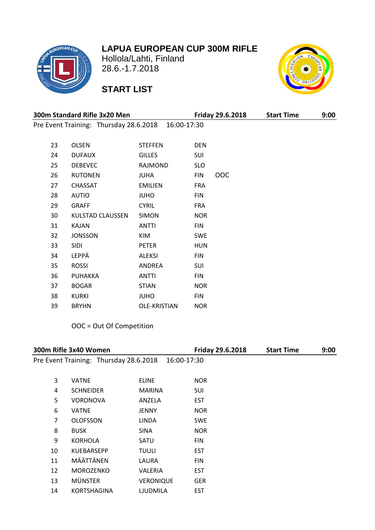# **LAPUA EUROPEAN CUP 300M RIFLE**



 Hollola/Lahti, Finland 28.6.-1.7.2018

# **START LIST**



| 300m Standard Rifle 3x20 Men |                                        |                |            | <b>Friday 29.6.2018</b> | <b>Start Time</b> | 9:00 |
|------------------------------|----------------------------------------|----------------|------------|-------------------------|-------------------|------|
|                              | Pre Event Training: Thursday 28.6.2018 | 16:00-17:30    |            |                         |                   |      |
|                              |                                        |                |            |                         |                   |      |
| 23                           | <b>OLSEN</b>                           | <b>STEFFEN</b> | <b>DEN</b> |                         |                   |      |
| 24                           | <b>DUFAUX</b>                          | <b>GILLES</b>  | SUI        |                         |                   |      |
| 25                           | <b>DEBEVEC</b>                         | RAJMOND        | <b>SLO</b> |                         |                   |      |
| 26                           | <b>RUTONEN</b>                         | <b>JUHA</b>    | <b>FIN</b> | <b>OOC</b>              |                   |      |
| 27                           | <b>CHASSAT</b>                         | <b>EMILIEN</b> | <b>FRA</b> |                         |                   |      |
| 28                           | <b>AUTIO</b>                           | <b>JUHO</b>    | <b>FIN</b> |                         |                   |      |
| 29                           | <b>GRAFF</b>                           | <b>CYRIL</b>   | <b>FRA</b> |                         |                   |      |
| 30                           | KULSTAD CLAUSSEN                       | <b>SIMON</b>   | <b>NOR</b> |                         |                   |      |
| 31                           | <b>KAJAN</b>                           | <b>ANTTI</b>   | <b>FIN</b> |                         |                   |      |
| 32                           | <b>JONSSON</b>                         | KIM            | <b>SWE</b> |                         |                   |      |
| 33                           | <b>SIDI</b>                            | <b>PETER</b>   | <b>HUN</b> |                         |                   |      |
| 34                           | LEPPÄ                                  | <b>ALEKSI</b>  | <b>FIN</b> |                         |                   |      |
| 35                           | <b>ROSSI</b>                           | ANDREA         | SUI        |                         |                   |      |
| 36                           | <b>PUHAKKA</b>                         | <b>ANTTI</b>   | <b>FIN</b> |                         |                   |      |
| 37                           | <b>BOGAR</b>                           | <b>STIAN</b>   | <b>NOR</b> |                         |                   |      |
| 38                           | <b>KURKI</b>                           | <b>OHUL</b>    | <b>FIN</b> |                         |                   |      |
| 39                           | <b>BRYHN</b>                           | OLE-KRISTIAN   | <b>NOR</b> |                         |                   |      |

### OOC = Out Of Competition

| 300m Rifle 3x40 Women |                                        |                  | Friday 29.6.2018 | <b>Start Time</b> | 9:00 |
|-----------------------|----------------------------------------|------------------|------------------|-------------------|------|
|                       | Pre Event Training: Thursday 28.6.2018 | 16:00-17:30      |                  |                   |      |
|                       |                                        |                  |                  |                   |      |
| 3                     | <b>VATNE</b>                           | <b>ELINE</b>     | <b>NOR</b>       |                   |      |
| 4                     | <b>SCHNEIDER</b>                       | <b>MARINA</b>    | SUI              |                   |      |
| 5                     | <b>VORONOVA</b>                        | ANZELA           | <b>EST</b>       |                   |      |
| 6                     | <b>VATNE</b>                           | <b>JENNY</b>     | <b>NOR</b>       |                   |      |
| 7                     | <b>OLOFSSON</b>                        | <b>LINDA</b>     | <b>SWE</b>       |                   |      |
| 8                     | <b>BUSK</b>                            | <b>SINA</b>      | <b>NOR</b>       |                   |      |
| 9                     | <b>KORHOLA</b>                         | SATU             | <b>FIN</b>       |                   |      |
| 10                    | <b>KUEBARSEPP</b>                      | <b>TUULI</b>     | <b>EST</b>       |                   |      |
| 11                    | MÄÄTTÄNEN                              | LAURA            | <b>FIN</b>       |                   |      |
| 12                    | <b>MOROZENKO</b>                       | <b>VALERIA</b>   | <b>EST</b>       |                   |      |
| 13                    | <b>MÜNSTER</b>                         | <b>VERONIQUE</b> | <b>GER</b>       |                   |      |
| 14                    | <b>KORTSHAGINA</b>                     | <b>LJUDMILA</b>  | <b>EST</b>       |                   |      |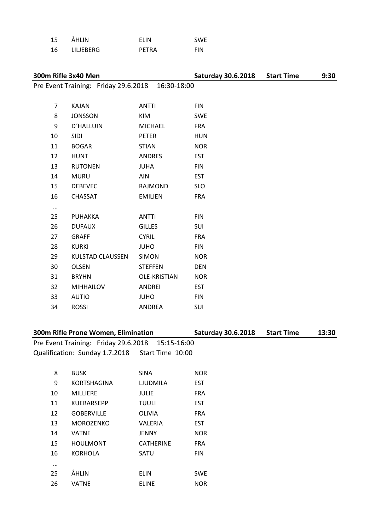| 15 | ÅHLIN     | <b>FIIN</b> | <b>SWE</b> |
|----|-----------|-------------|------------|
| 16 | LILJEBERG | PETRA       | <b>FIN</b> |

## **300m Rifle 3x40 Men Saturday 30.6.2018 Start Time 9:30** Pre Event Training: Friday 29.6.2018 16:30-18:00 KAJAN ANTTI FIN 8 JONSSON KIM SWE D´HALLUIN MICHAEL FRA SIDI PETER HUN BOGAR STIAN NOR 12 HUNT ANDRES EST 13 RUTONEN JUHA FIN MURU AIN EST DEBEVEC RAJMOND SLO CHASSAT EMILIEN FRA … PUHAKKA ANTTI FIN 26 DUFAUX GILLES SUI 27 GRAFF CYRIL FRA 28 KURKI JUHO FIN 29 KULSTAD CLAUSSEN SIMON NOR OLSEN STEFFEN DEN BRYHN OLE-KRISTIAN NOR MIHHAILOV ANDREI EST

**300m Rifle Prone Women, Elimination Saturday 30.6.2018 Start Time 13:30**

Pre Event Training: Friday 29.6.2018 15:15-16:00 Qualification: Sunday 1.7.2018 Start Time 10:00

 AUTIO JUHO FIN ROSSI ANDREA SUI

| 8  | <b>BUSK</b>        | <b>SINA</b>      | <b>NOR</b> |
|----|--------------------|------------------|------------|
| 9  | <b>KORTSHAGINA</b> | <b>LIUDMILA</b>  | <b>EST</b> |
| 10 | <b>MILLIERE</b>    | JULIE            | <b>FRA</b> |
| 11 | <b>KUEBARSEPP</b>  | <b>TUULI</b>     | <b>EST</b> |
| 12 | <b>GOBERVILLE</b>  | OLIVIA           | <b>FRA</b> |
| 13 | <b>MOROZENKO</b>   | VALERIA          | <b>EST</b> |
| 14 | <b>VATNE</b>       | <b>JENNY</b>     | <b>NOR</b> |
| 15 | <b>HOULMONT</b>    | <b>CATHERINE</b> | <b>FRA</b> |
| 16 | <b>KORHOLA</b>     | SATU             | <b>FIN</b> |
|    |                    |                  |            |
| 25 | ÅHLIN              | <b>ELIN</b>      | <b>SWE</b> |
| 26 | <b>VATNE</b>       | <b>ELINE</b>     | <b>NOR</b> |
|    |                    |                  |            |